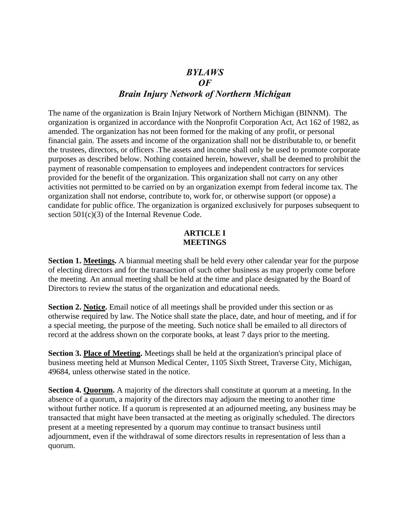# *BYLAWS OF Brain Injury Network of Northern Michigan*

The name of the organization is Brain Injury Network of Northern Michigan (BINNM). The organization is organized in accordance with the Nonprofit Corporation Act, Act 162 of 1982, as amended. The organization has not been formed for the making of any profit, or personal financial gain. The assets and income of the organization shall not be distributable to, or benefit the trustees, directors, or officers .The assets and income shall only be used to promote corporate purposes as described below. Nothing contained herein, however, shall be deemed to prohibit the payment of reasonable compensation to employees and independent contractors for services provided for the benefit of the organization. This organization shall not carry on any other activities not permitted to be carried on by an organization exempt from federal income tax. The organization shall not endorse, contribute to, work for, or otherwise support (or oppose) a candidate for public office. The organization is organized exclusively for purposes subsequent to section 501(c)(3) of the Internal Revenue Code.

### **ARTICLE I MEETINGS**

**Section 1. Meetings.** A biannual meeting shall be held every other calendar year for the purpose of electing directors and for the transaction of such other business as may properly come before the meeting. An annual meeting shall be held at the time and place designated by the Board of Directors to review the status of the organization and educational needs.

**Section 2. Notice.** Email notice of all meetings shall be provided under this section or as otherwise required by law. The Notice shall state the place, date, and hour of meeting, and if for a special meeting, the purpose of the meeting. Such notice shall be emailed to all directors of record at the address shown on the corporate books, at least 7 days prior to the meeting.

**Section 3. Place of Meeting.** Meetings shall be held at the organization's principal place of business meeting held at Munson Medical Center, 1105 Sixth Street, Traverse City, Michigan, 49684, unless otherwise stated in the notice.

**Section 4. Quorum.** A majority of the directors shall constitute at quorum at a meeting. In the absence of a quorum, a majority of the directors may adjourn the meeting to another time without further notice. If a quorum is represented at an adjourned meeting, any business may be transacted that might have been transacted at the meeting as originally scheduled. The directors present at a meeting represented by a quorum may continue to transact business until adjournment, even if the withdrawal of some directors results in representation of less than a quorum.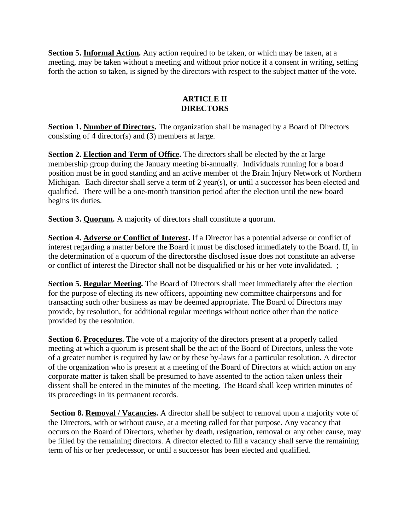Section 5. **Informal Action**. Any action required to be taken, or which may be taken, at a meeting, may be taken without a meeting and without prior notice if a consent in writing, setting forth the action so taken, is signed by the directors with respect to the subject matter of the vote.

## **ARTICLE II DIRECTORS**

**Section 1. Number of Directors.** The organization shall be managed by a Board of Directors consisting of 4 director(s) and (3) members at large.

**Section 2. Election and Term of Office.** The directors shall be elected by the at large membership group during the January meeting bi-annually. Individuals running for a board position must be in good standing and an active member of the Brain Injury Network of Northern Michigan. Each director shall serve a term of 2 year(s), or until a successor has been elected and qualified. There will be a one-month transition period after the election until the new board begins its duties.

**Section 3. Quorum.** A majority of directors shall constitute a quorum.

**Section 4. Adverse or Conflict of Interest.** If a Director has a potential adverse or conflict of interest regarding a matter before the Board it must be disclosed immediately to the Board. If, in the determination of a quorum of the directorsthe disclosed issue does not constitute an adverse or conflict of interest the Director shall not be disqualified or his or her vote invalidated. ;

**Section 5. Regular Meeting.** The Board of Directors shall meet immediately after the election for the purpose of electing its new officers, appointing new committee chairpersons and for transacting such other business as may be deemed appropriate. The Board of Directors may provide, by resolution, for additional regular meetings without notice other than the notice provided by the resolution.

**Section 6. Procedures.** The vote of a majority of the directors present at a properly called meeting at which a quorum is present shall be the act of the Board of Directors, unless the vote of a greater number is required by law or by these by-laws for a particular resolution. A director of the organization who is present at a meeting of the Board of Directors at which action on any corporate matter is taken shall be presumed to have assented to the action taken unless their dissent shall be entered in the minutes of the meeting. The Board shall keep written minutes of its proceedings in its permanent records.

Section 8. Removal / Vacancies. A director shall be subject to removal upon a majority vote of the Directors, with or without cause, at a meeting called for that purpose. Any vacancy that occurs on the Board of Directors, whether by death, resignation, removal or any other cause, may be filled by the remaining directors. A director elected to fill a vacancy shall serve the remaining term of his or her predecessor, or until a successor has been elected and qualified.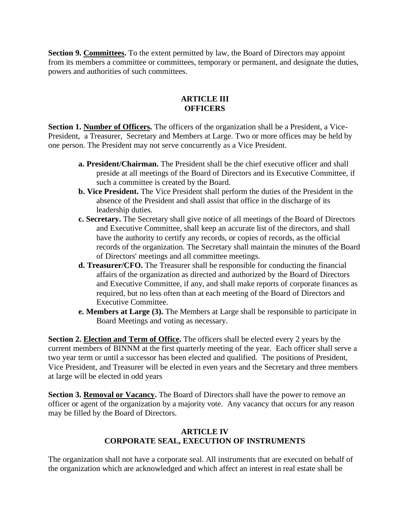**Section 9. Committees.** To the extent permitted by law, the Board of Directors may appoint from its members a committee or committees, temporary or permanent, and designate the duties, powers and authorities of such committees.

## **ARTICLE III OFFICERS**

**Section 1. Number of Officers.** The officers of the organization shall be a President, a Vice-President, a Treasurer, Secretary and Members at Large. Two or more offices may be held by one person. The President may not serve concurrently as a Vice President.

- **a. President/Chairman.** The President shall be the chief executive officer and shall preside at all meetings of the Board of Directors and its Executive Committee, if such a committee is created by the Board.
- **b. Vice President.** The Vice President shall perform the duties of the President in the absence of the President and shall assist that office in the discharge of its leadership duties.
- **c. Secretary.** The Secretary shall give notice of all meetings of the Board of Directors and Executive Committee, shall keep an accurate list of the directors, and shall have the authority to certify any records, or copies of records, as the official records of the organization. The Secretary shall maintain the minutes of the Board of Directors' meetings and all committee meetings.
- **d. Treasurer/CFO.** The Treasurer shall be responsible for conducting the financial affairs of the organization as directed and authorized by the Board of Directors and Executive Committee, if any, and shall make reports of corporate finances as required, but no less often than at each meeting of the Board of Directors and Executive Committee.
- **e. Members at Large (3).** The Members at Large shall be responsible to participate in Board Meetings and voting as necessary.

**Section 2. Election and Term of Office.** The officers shall be elected every 2 years by the current members of BINNM at the first quarterly meeting of the year. Each officer shall serve a two year term or until a successor has been elected and qualified. The positions of President, Vice President, and Treasurer will be elected in even years and the Secretary and three members at large will be elected in odd years

**Section 3. Removal or Vacancy.** The Board of Directors shall have the power to remove an officer or agent of the organization by a majority vote. Any vacancy that occurs for any reason may be filled by the Board of Directors.

## **ARTICLE IV CORPORATE SEAL, EXECUTION OF INSTRUMENTS**

The organization shall not have a corporate seal. All instruments that are executed on behalf of the organization which are acknowledged and which affect an interest in real estate shall be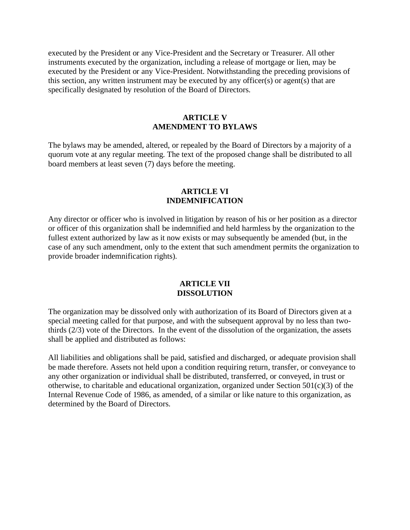executed by the President or any Vice-President and the Secretary or Treasurer. All other instruments executed by the organization, including a release of mortgage or lien, may be executed by the President or any Vice-President. Notwithstanding the preceding provisions of this section, any written instrument may be executed by any officer(s) or agent(s) that are specifically designated by resolution of the Board of Directors.

## **ARTICLE V AMENDMENT TO BYLAWS**

The bylaws may be amended, altered, or repealed by the Board of Directors by a majority of a quorum vote at any regular meeting. The text of the proposed change shall be distributed to all board members at least seven (7) days before the meeting.

### **ARTICLE VI INDEMNIFICATION**

Any director or officer who is involved in litigation by reason of his or her position as a director or officer of this organization shall be indemnified and held harmless by the organization to the fullest extent authorized by law as it now exists or may subsequently be amended (but, in the case of any such amendment, only to the extent that such amendment permits the organization to provide broader indemnification rights).

### **ARTICLE VII DISSOLUTION**

The organization may be dissolved only with authorization of its Board of Directors given at a special meeting called for that purpose, and with the subsequent approval by no less than twothirds (2/3) vote of the Directors. In the event of the dissolution of the organization, the assets shall be applied and distributed as follows:

All liabilities and obligations shall be paid, satisfied and discharged, or adequate provision shall be made therefore. Assets not held upon a condition requiring return, transfer, or conveyance to any other organization or individual shall be distributed, transferred, or conveyed, in trust or otherwise, to charitable and educational organization, organized under Section 501(c)(3) of the Internal Revenue Code of 1986, as amended, of a similar or like nature to this organization, as determined by the Board of Directors.